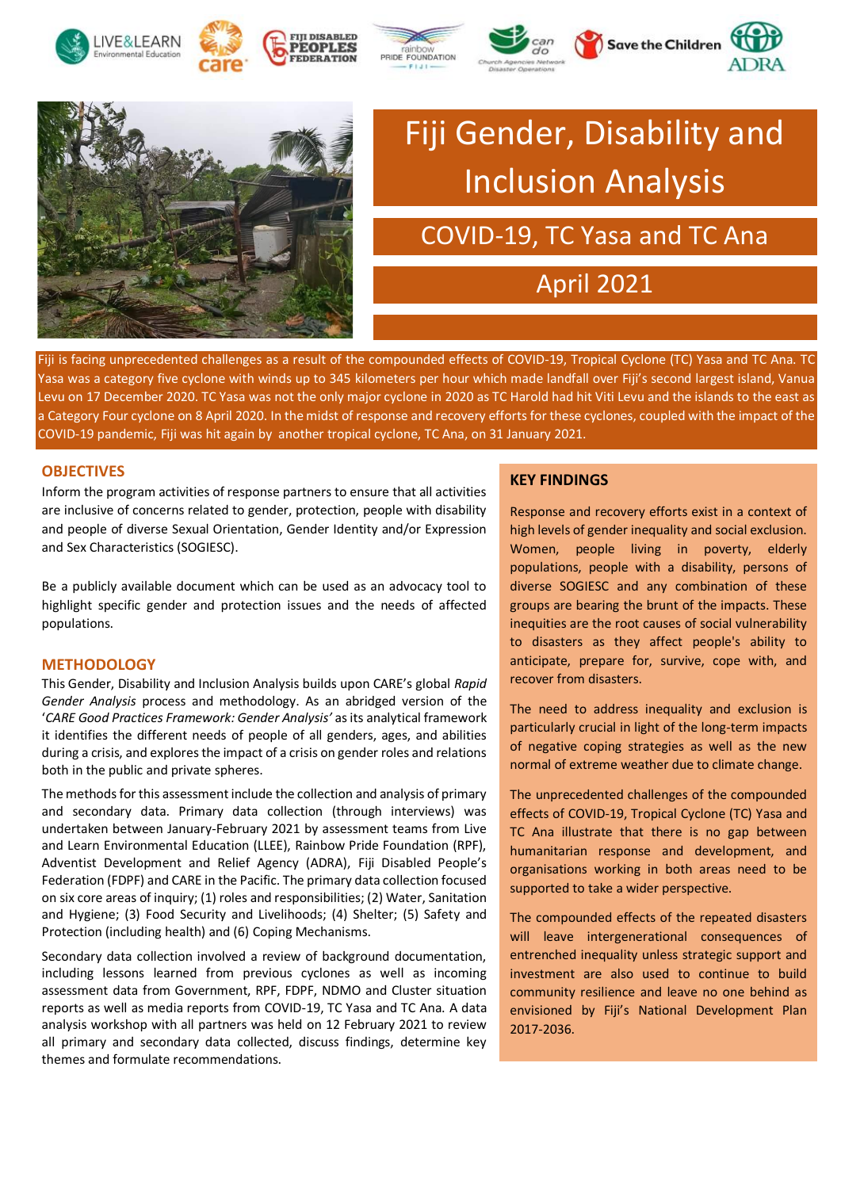







# Fiji Gender, Disability and Inclusion Analysis

### COVID-19, TC Yasa and TC Ana

## April 2021

Fiji is facing unprecedented challenges as a result of the compounded effects of COVID-19, Tropical Cyclone (TC) Yasa and TC Ana. TC Yasa was a category five cyclone with winds up to 345 kilometers per hour which made landfall over Fiji's second largest island, Vanua Levu on 17 December 2020. TC Yasa was not the only major cyclone in 2020 as TC Harold had hit Viti Levu and the islands to the east as a Category Four cyclone on 8 April 2020. In the midst of response and recovery efforts for these cyclones, coupled with the impact of the COVID-19 pandemic, Fiji was hit again by another tropical cyclone, TC Ana, on 31 January 2021.

#### **OBJECTIVES**

Inform the program activities of response partners to ensure that all activities are inclusive of concerns related to gender, protection, people with disability and people of diverse Sexual Orientation, Gender Identity and/or Expression and Sex Characteristics (SOGIESC).

Be a publicly available document which can be used as an advocacy tool to highlight specific gender and protection issues and the needs of affected populations.

#### **METHODOLOGY**

This Gender, Disability and Inclusion Analysis builds upon CARE's global *Rapid Gender Analysis* process and methodology. As an abridged version of the '*CARE Good Practices Framework: Gender Analysis'* as its analytical framework it identifies the different needs of people of all genders, ages, and abilities during a crisis, and explores the impact of a crisis on gender roles and relations both in the public and private spheres.

The methods for this assessment include the collection and analysis of primary and secondary data. Primary data collection (through interviews) was undertaken between January-February 2021 by assessment teams from Live and Learn Environmental Education (LLEE), Rainbow Pride Foundation (RPF), Adventist Development and Relief Agency (ADRA), Fiji Disabled People's Federation (FDPF) and CARE in the Pacific. The primary data collection focused on six core areas of inquiry; (1) roles and responsibilities; (2) Water, Sanitation and Hygiene; (3) Food Security and Livelihoods; (4) Shelter; (5) Safety and Protection (including health) and (6) Coping Mechanisms.

Secondary data collection involved a review of background documentation, including lessons learned from previous cyclones as well as incoming assessment data from Government, RPF, FDPF, NDMO and Cluster situation reports as well as media reports from COVID-19, TC Yasa and TC Ana. A data analysis workshop with all partners was held on 12 February 2021 to review all primary and secondary data collected, discuss findings, determine key themes and formulate recommendations.

#### **KEY FINDINGS**

Response and recovery efforts exist in a context of high levels of gender inequality and social exclusion. Women, people living in poverty, elderly populations, people with a disability, persons of diverse SOGIESC and any combination of these groups are bearing the brunt of the impacts. These inequities are the root causes of social vulnerability to disasters as they affect people's ability to anticipate, prepare for, survive, cope with, and recover from disasters.

The need to address inequality and exclusion is particularly crucial in light of the long-term impacts of negative coping strategies as well as the new normal of extreme weather due to climate change.

The unprecedented challenges of the compounded effects of COVID-19, Tropical Cyclone (TC) Yasa and TC Ana illustrate that there is no gap between humanitarian response and development, and organisations working in both areas need to be supported to take a wider perspective.

The compounded effects of the repeated disasters will leave intergenerational consequences of entrenched inequality unless strategic support and investment are also used to continue to build community resilience and leave no one behind as envisioned by Fiji's National Development Plan 2017-2036.